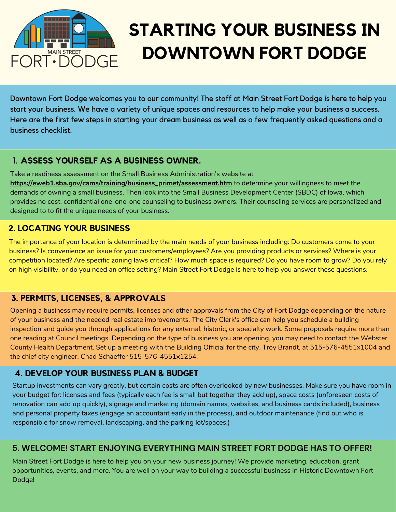

# **STARTING YOUR BUSINESS IN DOWNTOWN FORT DODGE**

Downtown Fort Dodge welcomes you to our community! The staff at Main Street Fort Dodge is here to help you start your business. We have a variety of unique spaces and resources to help make your business a success. Here are the first few steps in starting your dream business as well as a few frequently asked questions and a business checklist.

### 1. **ASSESS YOURSELF AS A BUSINESS OWNER.**

Take a readiness assessment on the Small Business Administration's website at **[https://eweb1.sba.gov/cams/training/business\\_primet/assessment.htm](https://eweb1.sba.gov/cams/training/business_primet/assessment.htm)** to determine your willingness to meet the demands of owning a small business. Then look into the Small Business Development Center (SBDC) of Iowa, which provides no cost, confidential one-one-one counseling to business owners. Their counseling services are personalized and designed to to fit the unique needs of your business.

### **2. LOCATING YOUR BUSINESS**

The importance of your location is determined by the main needs of your business including: Do customers come to your business? Is convenience an issue for your customers/employees? Are you providing products or services? Where is your competition located? Are specific zoning laws critical? How much space is required? Do you have room to grow? Do you rely on high visibility, or do you need an office setting? Main Street Fort Dodge is here to help you answer these questions.

### **3. PERMITS, LICENSES, & APPROVALS**

Opening a business may require permits, licenses and other approvals from the City of Fort Dodge depending on the nature of your business and the needed real estate improvements. The City Clerk's office can help you schedule a building inspection and guide you through applications for any external, historic, or specialty work. Some proposals require more than one reading at Council meetings. Depending on the type of business you are opening, you may need to contact the Webster County Health Department. Set up a meeting with the Building Official for the city, Troy Brandt, at 515-576-4551x1004 and the chief city engineer, Chad Schaeffer 515-576-4551x1254.

### **4. DEVELOP YOUR BUSINESS PLAN & BUDGET**

Startup investments can vary greatly, but certain costs are often overlooked by new businesses. Make sure you have room in your budget for: licenses and fees (typically each fee is small but together they add up), space costs (unforeseen costs of renovation can add up quickly), signage and marketing (domain names, websites, and business cards included), business and personal property taxes (engage an accountant early in the process), and outdoor maintenance (find out who is responsible for snow removal, landscaping, and the parking lot/spaces.)

#### **5. WELCOME! START ENJOYING EVERYTHING MAIN STREET FORT DODGE HAS TO OFFER!**

Main Street Fort Dodge is here to help you on your new business journey! We provide marketing, education, grant opportunities, events, and more. You are well on your way to building a successful business in Historic Downtown Fort Dodge!